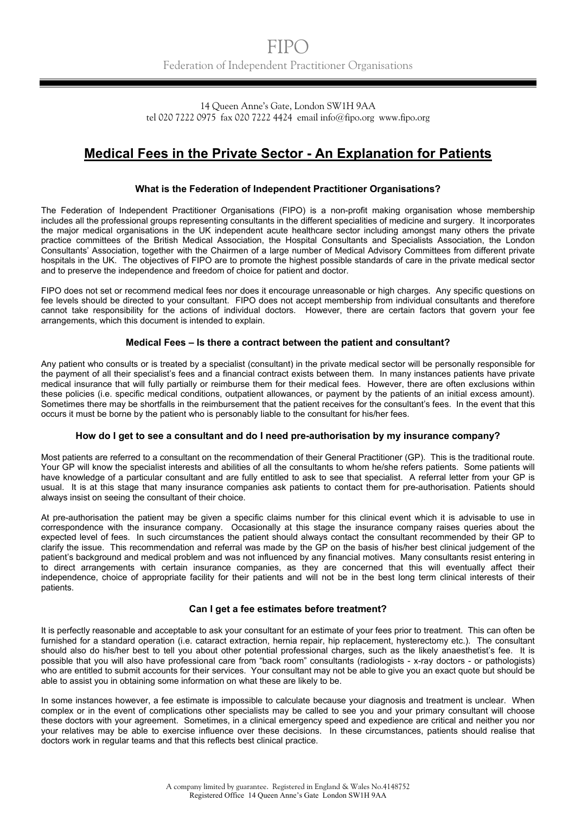14 Queen Anne's Gate, London SW1H 9AA tel 020 7222 0975 fax 020 7222 4424 email info@fipo.org www.fipo.org

# **Medical Fees in the Private Sector - An Explanation for Patients**

## **What is the Federation of Independent Practitioner Organisations?**

The Federation of Independent Practitioner Organisations (FIPO) is a non-profit making organisation whose membership includes all the professional groups representing consultants in the different specialities of medicine and surgery. It incorporates the major medical organisations in the UK independent acute healthcare sector including amongst many others the private practice committees of the British Medical Association, the Hospital Consultants and Specialists Association, the London Consultants' Association, together with the Chairmen of a large number of Medical Advisory Committees from different private hospitals in the UK. The objectives of FIPO are to promote the highest possible standards of care in the private medical sector and to preserve the independence and freedom of choice for patient and doctor.

FIPO does not set or recommend medical fees nor does it encourage unreasonable or high charges. Any specific questions on fee levels should be directed to your consultant. FIPO does not accept membership from individual consultants and therefore cannot take responsibility for the actions of individual doctors. However, there are certain factors that govern your fee arrangements, which this document is intended to explain.

## **Medical Fees – Is there a contract between the patient and consultant?**

Any patient who consults or is treated by a specialist (consultant) in the private medical sector will be personally responsible for the payment of all their specialist's fees and a financial contract exists between them. In many instances patients have private medical insurance that will fully partially or reimburse them for their medical fees. However, there are often exclusions within these policies (i.e. specific medical conditions, outpatient allowances, or payment by the patients of an initial excess amount). Sometimes there may be shortfalls in the reimbursement that the patient receives for the consultant's fees. In the event that this occurs it must be borne by the patient who is personably liable to the consultant for his/her fees.

### **How do I get to see a consultant and do I need pre-authorisation by my insurance company?**

Most patients are referred to a consultant on the recommendation of their General Practitioner (GP). This is the traditional route. Your GP will know the specialist interests and abilities of all the consultants to whom he/she refers patients. Some patients will have knowledge of a particular consultant and are fully entitled to ask to see that specialist. A referral letter from your GP is usual. It is at this stage that many insurance companies ask patients to contact them for pre-authorisation. Patients should always insist on seeing the consultant of their choice.

At pre-authorisation the patient may be given a specific claims number for this clinical event which it is advisable to use in correspondence with the insurance company. Occasionally at this stage the insurance company raises queries about the expected level of fees. In such circumstances the patient should always contact the consultant recommended by their GP to clarify the issue. This recommendation and referral was made by the GP on the basis of his/her best clinical judgement of the patient's background and medical problem and was not influenced by any financial motives. Many consultants resist entering in to direct arrangements with certain insurance companies, as they are concerned that this will eventually affect their independence, choice of appropriate facility for their patients and will not be in the best long term clinical interests of their patients.

# **Can I get a fee estimates before treatment?**

It is perfectly reasonable and acceptable to ask your consultant for an estimate of your fees prior to treatment. This can often be furnished for a standard operation (i.e. cataract extraction, hernia repair, hip replacement, hysterectomy etc.). The consultant should also do his/her best to tell you about other potential professional charges, such as the likely anaesthetist's fee. It is possible that you will also have professional care from "back room" consultants (radiologists - x-ray doctors - or pathologists) who are entitled to submit accounts for their services. Your consultant may not be able to give you an exact quote but should be able to assist you in obtaining some information on what these are likely to be.

In some instances however, a fee estimate is impossible to calculate because your diagnosis and treatment is unclear. When complex or in the event of complications other specialists may be called to see you and your primary consultant will choose these doctors with your agreement. Sometimes, in a clinical emergency speed and expedience are critical and neither you nor your relatives may be able to exercise influence over these decisions. In these circumstances, patients should realise that doctors work in regular teams and that this reflects best clinical practice.